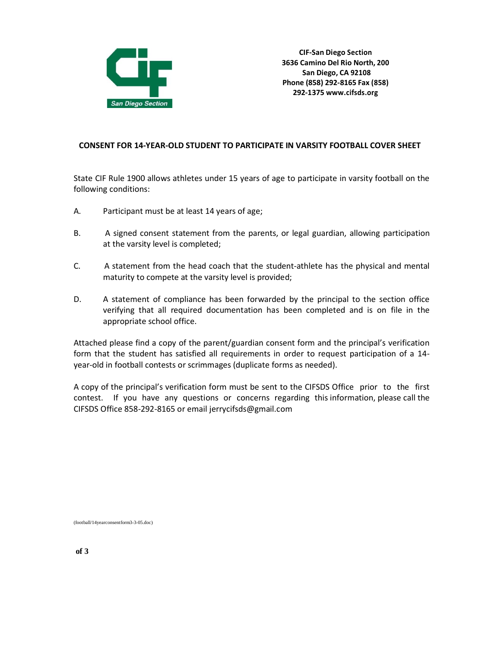

## **CONSENT FOR 14-YEAR-OLD STUDENT TO PARTICIPATE IN VARSITY FOOTBALL COVER SHEET**

State CIF Rule 1900 allows athletes under 15 years of age to participate in varsity football on the following conditions:

- A. Participant must be at least 14 years of age;
- B. A signed consent statement from the parents, or legal guardian, allowing participation at the varsity level is completed;
- C. A statement from the head coach that the student-athlete has the physical and mental maturity to compete at the varsity level is provided;
- D. A statement of compliance has been forwarded by the principal to the section office verifying that all required documentation has been completed and is on file in the appropriate school office.

Attached please find a copy of the parent/guardian consent form and the principal's verification form that the student has satisfied all requirements in order to request participation of a 14 year-old in football contests or scrimmages (duplicate forms as needed).

A copy of the principal's verification form must be sent to the CIFSDS Office prior to the first contest. If you have any questions or concerns regarding this information, please call the CIFSDS Office 858-292-8165 or e[mail jerrycifsds@gmail.com](mailto:jerrycifsds@gmail.com)

(football/14yearconsentform3-3-05.doc)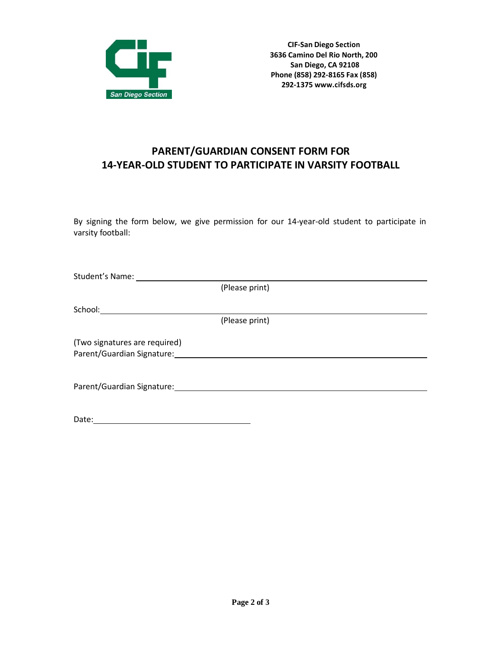

## **PARENT/GUARDIAN CONSENT FORM FOR 14-YEAR-OLD STUDENT TO PARTICIPATE IN VARSITY FOOTBALL**

By signing the form below, we give permission for our 14-year-old student to participate in varsity football:

| Student's Name:               |                |  |
|-------------------------------|----------------|--|
|                               | (Please print) |  |
|                               |                |  |
| School:______________________ |                |  |
|                               | (Please print) |  |
| (Two signatures are required) |                |  |
| Parent/Guardian Signature:    |                |  |
|                               |                |  |
| Parent/Guardian Signature:    |                |  |
|                               |                |  |
|                               |                |  |

| Date: |  |  |  |
|-------|--|--|--|
|       |  |  |  |